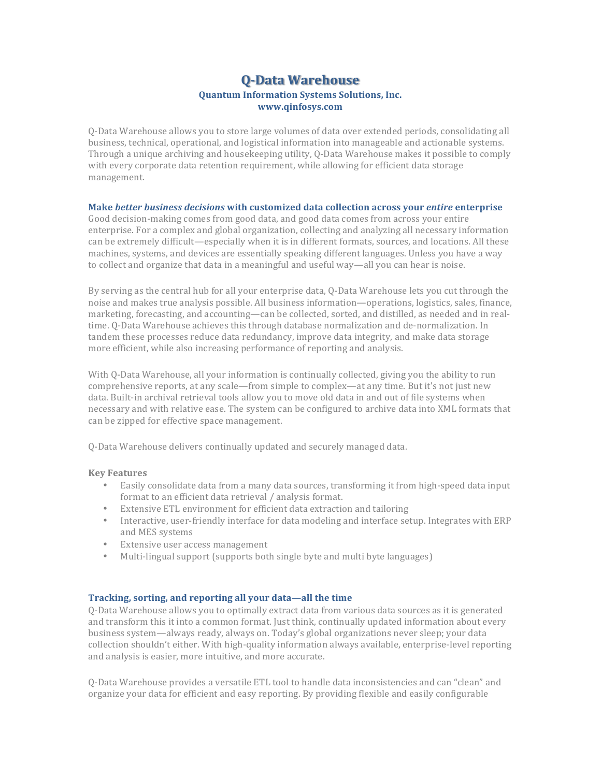# **Q-Data Warehouse Quantum Information Systems Solutions, Inc. www.qinfosys.com**

O-Data Warehouse allows you to store large volumes of data over extended periods, consolidating all business, technical, operational, and logistical information into manageable and actionable systems. Through a unique archiving and housekeeping utility, Q-Data Warehouse makes it possible to comply with every corporate data retention requirement, while allowing for efficient data storage management.

## **Make** *better business decisions* **with customized data collection across your** *entire* **enterprise**

Good decision-making comes from good data, and good data comes from across your entire enterprise. For a complex and global organization, collecting and analyzing all necessary information can be extremely difficult—especially when it is in different formats, sources, and locations. All these machines, systems, and devices are essentially speaking different languages. Unless you have a way to collect and organize that data in a meaningful and useful way—all you can hear is noise.

By serving as the central hub for all your enterprise data, Q-Data Warehouse lets you cut through the noise and makes true analysis possible. All business information—operations, logistics, sales, finance, marketing, forecasting, and accounting—can be collected, sorted, and distilled, as needed and in realtime. Q-Data Warehouse achieves this through database normalization and de-normalization. In tandem these processes reduce data redundancy, improve data integrity, and make data storage more efficient, while also increasing performance of reporting and analysis.

With Q-Data Warehouse, all your information is continually collected, giving you the ability to run comprehensive reports, at any scale—from simple to complex—at any time. But it's not just new data. Built-in archival retrieval tools allow you to move old data in and out of file systems when necessary and with relative ease. The system can be configured to archive data into XML formats that can be zipped for effective space management.

Q-Data Warehouse delivers continually updated and securely managed data.

#### **Key Features**

- Easily consolidate data from a many data sources, transforming it from high-speed data input format to an efficient data retrieval / analysis format.
- Extensive ETL environment for efficient data extraction and tailoring
- Interactive, user-friendly interface for data modeling and interface setup. Integrates with ERP and MES systems
- Extensive user access management
- Multi-lingual support (supports both single byte and multi byte languages)

#### **Tracking, sorting, and reporting all your data—all the time**

Q-Data Warehouse allows you to optimally extract data from various data sources as it is generated and transform this it into a common format. Just think, continually updated information about every business system—always ready, always on. Today's global organizations never sleep; your data collection shouldn't either. With high-quality information always available, enterprise-level reporting and analysis is easier, more intuitive, and more accurate.

Q-Data Warehouse provides a versatile ETL tool to handle data inconsistencies and can "clean" and organize your data for efficient and easy reporting. By providing flexible and easily configurable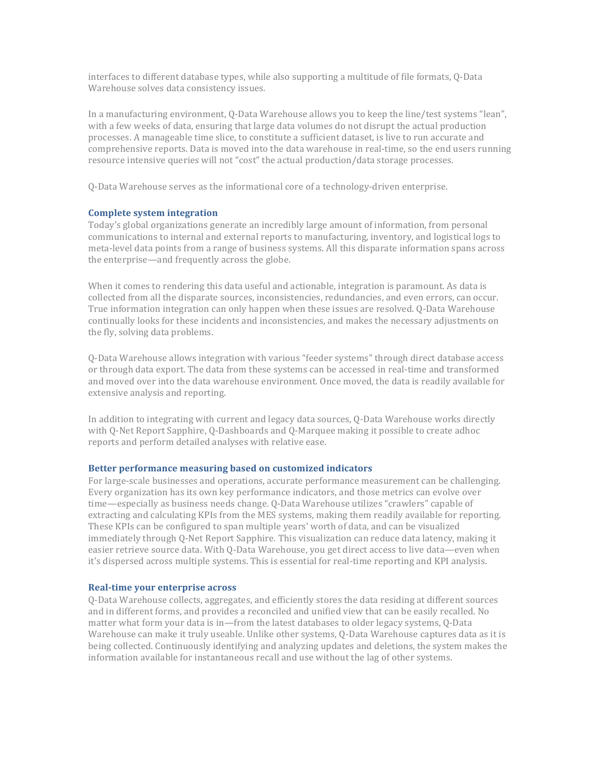interfaces to different database types, while also supporting a multitude of file formats, Q-Data Warehouse solves data consistency issues.

In a manufacturing environment, Q-Data Warehouse allows you to keep the line/test systems "lean", with a few weeks of data, ensuring that large data volumes do not disrupt the actual production processes. A manageable time slice, to constitute a sufficient dataset, is live to run accurate and comprehensive reports. Data is moved into the data warehouse in real-time, so the end users running resource intensive queries will not "cost" the actual production/data storage processes.

Q-Data Warehouse serves as the informational core of a technology-driven enterprise.

# **Complete system integration**

Today's global organizations generate an incredibly large amount of information, from personal communications to internal and external reports to manufacturing, inventory, and logistical logs to meta-level data points from a range of business systems. All this disparate information spans across the enterprise—and frequently across the globe.

When it comes to rendering this data useful and actionable, integration is paramount. As data is collected from all the disparate sources, inconsistencies, redundancies, and even errors, can occur. True information integration can only happen when these issues are resolved. O-Data Warehouse continually looks for these incidents and inconsistencies, and makes the necessary adjustments on the fly, solving data problems.

Q-Data Warehouse allows integration with various "feeder systems" through direct database access or through data export. The data from these systems can be accessed in real-time and transformed and moved over into the data warehouse environment. Once moved, the data is readily available for extensive analysis and reporting.

In addition to integrating with current and legacy data sources, Q-Data Warehouse works directly with O-Net Report Sapphire, O-Dashboards and O-Marquee making it possible to create adhoc reports and perform detailed analyses with relative ease.

#### **Better performance measuring based on customized indicators**

For large-scale businesses and operations, accurate performance measurement can be challenging. Every organization has its own key performance indicators, and those metrics can evolve over time—especially as business needs change. Q-Data Warehouse utilizes "crawlers" capable of extracting and calculating KPIs from the MES systems, making them readily available for reporting. These KPIs can be configured to span multiple years' worth of data, and can be visualized immediately through Q-Net Report Sapphire. This visualization can reduce data latency, making it easier retrieve source data. With Q-Data Warehouse, you get direct access to live data—even when it's dispersed across multiple systems. This is essential for real-time reporting and KPI analysis.

## **Real-time your enterprise across**

Q-Data Warehouse collects, aggregates, and efficiently stores the data residing at different sources and in different forms, and provides a reconciled and unified view that can be easily recalled. No matter what form your data is in—from the latest databases to older legacy systems, Q-Data Warehouse can make it truly useable. Unlike other systems, Q-Data Warehouse captures data as it is being collected. Continuously identifying and analyzing updates and deletions, the system makes the information available for instantaneous recall and use without the lag of other systems.